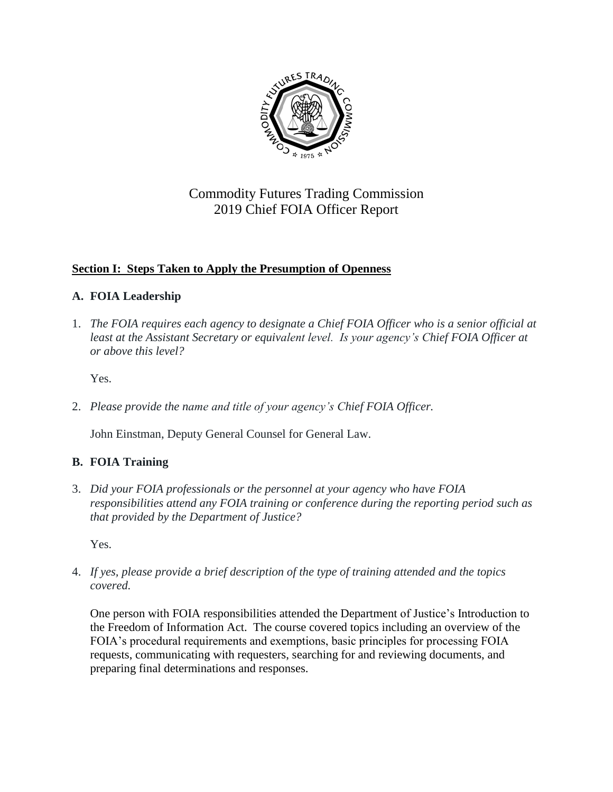

# Commodity Futures Trading Commission 2019 Chief FOIA Officer Report

## **Section I: Steps Taken to Apply the Presumption of Openness**

## **A. FOIA Leadership**

1. *The FOIA requires each agency to designate a Chief FOIA Officer who is a senior official at*  least at the Assistant Secretary or equivalent level. Is your agency's Chief FOIA Officer at *or above this level?* 

Yes.

2. *Please provide the name and title of your agency's Chief FOIA Officer.* 

John Einstman, Deputy General Counsel for General Law.

## **B. FOIA Training**

3. *Did your FOIA professionals or the personnel at your agency who have FOIA responsibilities attend any FOIA training or conference during the reporting period such as that provided by the Department of Justice?*

Yes.

4. *If yes, please provide a brief description of the type of training attended and the topics covered.* 

One person with FOIA responsibilities attended the Department of Justice's Introduction to the Freedom of Information Act. The course covered topics including an overview of the FOIA's procedural requirements and exemptions, basic principles for processing FOIA requests, communicating with requesters, searching for and reviewing documents, and preparing final determinations and responses.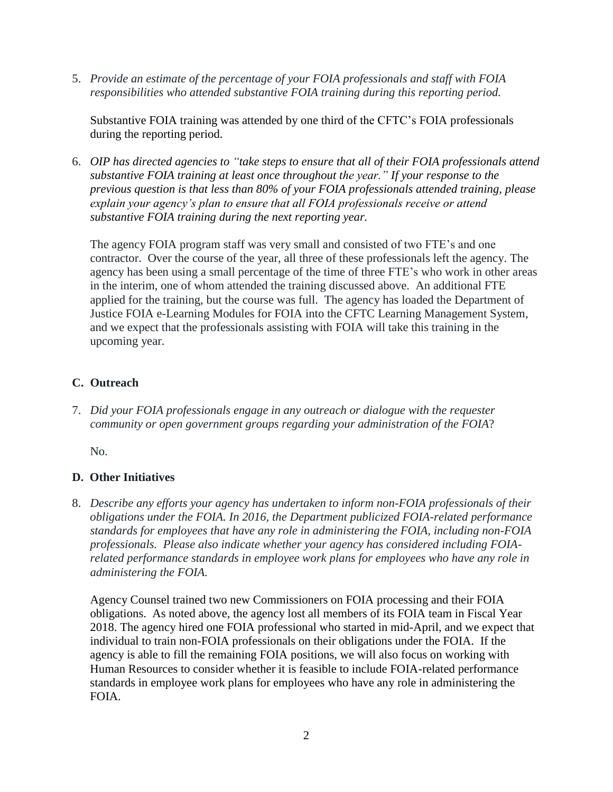5. *Provide an estimate of the percentage of your FOIA professionals and staff with FOIA responsibilities who attended substantive FOIA training during this reporting period.*

Substantive FOIA training was attended by one third of the CFTC's FOIA professionals during the reporting period.

6. *OIP has [directed agencies](http://www.justice.gov/oip/oip-guidance-9) to "take steps to ensure that all of their FOIA professionals attend substantive FOIA training at least once throughout the year." If your response to the previous question is that less than 80% of your FOIA professionals attended training, please explain your agency's plan to ensure that all FOIA professionals receive or attend substantive FOIA training during the next reporting year.* 

The agency FOIA program staff was very small and consisted of two FTE's and one contractor. Over the course of the year, all three of these professionals left the agency. The agency has been using a small percentage of the time of three FTE's who work in other areas in the interim, one of whom attended the training discussed above. An additional FTE applied for the training, but the course was full. The agency has loaded the Department of Justice FOIA e-Learning Modules for FOIA into the CFTC Learning Management System, and we expect that the professionals assisting with FOIA will take this training in the upcoming year.

### **C. Outreach**

7. *Did your FOIA professionals engage in any outreach or dialogue with the requester community or open government groups regarding your administration of the FOIA*?

No.

### **D. Other Initiatives**

8. *Describe any efforts your agency has undertaken to inform non-FOIA professionals of their obligations under the FOIA. In 2016, the Department publicized FOIA-related performance standards for employees that have any role in administering the FOIA, including non-FOIA professionals. Please also indicate whether your agency has considered including FOIArelated performance standards in employee work plans for employees who have any role in administering the FOIA.* 

Agency Counsel trained two new Commissioners on FOIA processing and their FOIA obligations. As noted above, the agency lost all members of its FOIA team in Fiscal Year 2018. The agency hired one FOIA professional who started in mid-April, and we expect that individual to train non-FOIA professionals on their obligations under the FOIA. If the agency is able to fill the remaining FOIA positions, we will also focus on working with Human Resources to consider whether it is feasible to include FOIA-related performance standards in employee work plans for employees who have any role in administering the FOIA.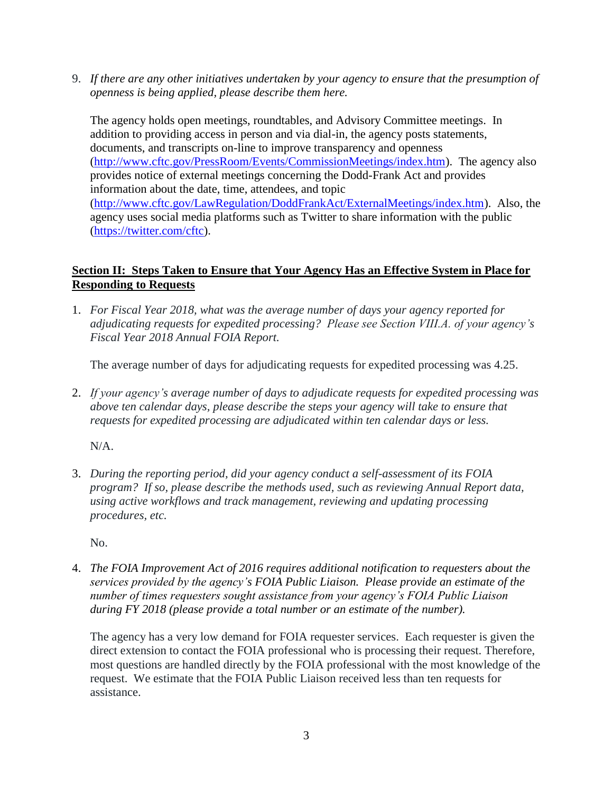9. *If there are any other initiatives undertaken by your agency to ensure that the presumption of openness is being applied, please describe them here.*

The agency holds open meetings, roundtables, and Advisory Committee meetings. In addition to providing access in person and via dial-in, the agency posts statements, documents, and transcripts on-line to improve transparency and openness [\(http://www.cftc.gov/PressRoom/Events/CommissionMeetings/index.htm\)](http://www.cftc.gov/PressRoom/Events/CommissionMeetings/index.htm). The agency also provides notice of external meetings concerning the Dodd-Frank Act and provides information about the date, time, attendees, and topic [\(http://www.cftc.gov/LawRegulation/DoddFrankAct/ExternalMeetings/index.htm\)](http://www.cftc.gov/LawRegulation/DoddFrankAct/ExternalMeetings/index.htm). Also, the agency uses social media platforms such as Twitter to share information with the public [\(https://twitter.com/cftc\)](https://twitter.com/cftc).

#### **Section II: Steps Taken to Ensure that Your Agency Has an Effective System in Place for Responding to Requests**

1. *For Fiscal Year 2018, what was the average number of days your agency reported for adjudicating requests for expedited processing? Please see Section VIII.A. of your agency's Fiscal Year 2018 Annual FOIA Report.* 

The average number of days for adjudicating requests for expedited processing was 4.25.

2. *If your agency's average number of days to adjudicate requests for expedited processing was above ten calendar days, please describe the steps your agency will take to ensure that requests for expedited processing are adjudicated within ten calendar days or less.*

N/A.

3. *During the reporting period, did your agency conduct a self-assessment of its FOIA program? If so, please describe the methods used, such as reviewing Annual Report data, using active workflows and track management, reviewing and updating processing procedures, etc.*

No.

4. *The FOIA Improvement Act of 2016 requires additional notification to requesters about the services provided by the agency's FOIA Public Liaison. Please provide an estimate of the number of times requesters sought assistance from your agency's FOIA Public Liaison during FY 2018 (please provide a total number or an estimate of the number).* 

The agency has a very low demand for FOIA requester services. Each requester is given the direct extension to contact the FOIA professional who is processing their request. Therefore, most questions are handled directly by the FOIA professional with the most knowledge of the request. We estimate that the FOIA Public Liaison received less than ten requests for assistance.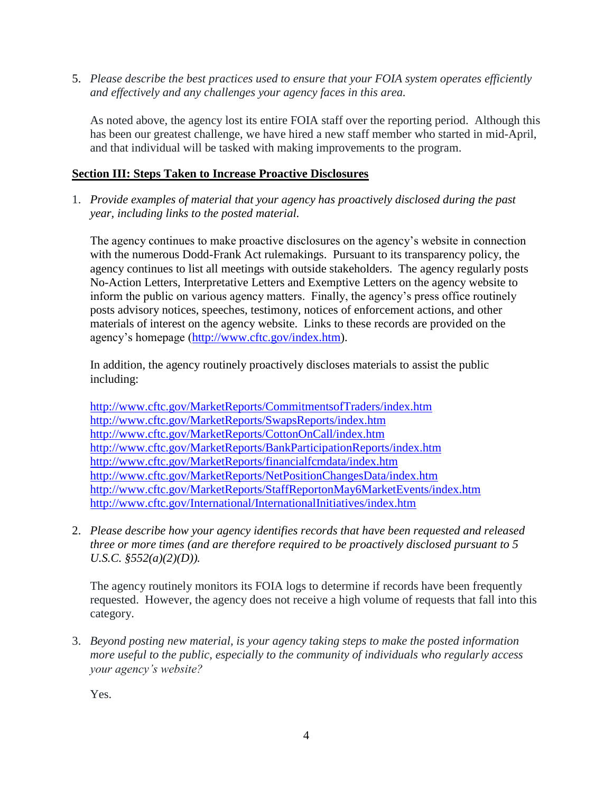5. *Please describe the best practices used to ensure that your FOIA system operates efficiently and effectively and any challenges your agency faces in this area.* 

As noted above, the agency lost its entire FOIA staff over the reporting period. Although this has been our greatest challenge, we have hired a new staff member who started in mid-April, and that individual will be tasked with making improvements to the program.

#### **Section III: Steps Taken to Increase Proactive Disclosures**

1. *Provide examples of material that your agency has proactively disclosed during the past year, including links to the posted material.*

The agency continues to make proactive disclosures on the agency's website in connection with the numerous Dodd-Frank Act rulemakings. Pursuant to its transparency policy, the agency continues to list all meetings with outside stakeholders. The agency regularly posts No-Action Letters, Interpretative Letters and Exemptive Letters on the agency website to inform the public on various agency matters. Finally, the agency's press office routinely posts advisory notices, speeches, testimony, notices of enforcement actions, and other materials of interest on the agency website. Links to these records are provided on the agency's homepage [\(http://www.cftc.gov/index.htm\)](http://www.cftc.gov/index.htm).

In addition, the agency routinely proactively discloses materials to assist the public including:

<http://www.cftc.gov/MarketReports/CommitmentsofTraders/index.htm> <http://www.cftc.gov/MarketReports/SwapsReports/index.htm> <http://www.cftc.gov/MarketReports/CottonOnCall/index.htm> <http://www.cftc.gov/MarketReports/BankParticipationReports/index.htm> <http://www.cftc.gov/MarketReports/financialfcmdata/index.htm> <http://www.cftc.gov/MarketReports/NetPositionChangesData/index.htm> <http://www.cftc.gov/MarketReports/StaffReportonMay6MarketEvents/index.htm> <http://www.cftc.gov/International/InternationalInitiatives/index.htm>

2. *Please describe how your agency identifies records that have been requested and released three or more times (and are therefore required to be proactively disclosed pursuant to 5 U.S.C. §552(a)(2)(D)).* 

The agency routinely monitors its FOIA logs to determine if records have been frequently requested. However, the agency does not receive a high volume of requests that fall into this category.

3. *Beyond posting new material, is your agency taking steps to make the posted information more useful to the public, especially to the community of individuals who regularly access your agency's website?* 

Yes.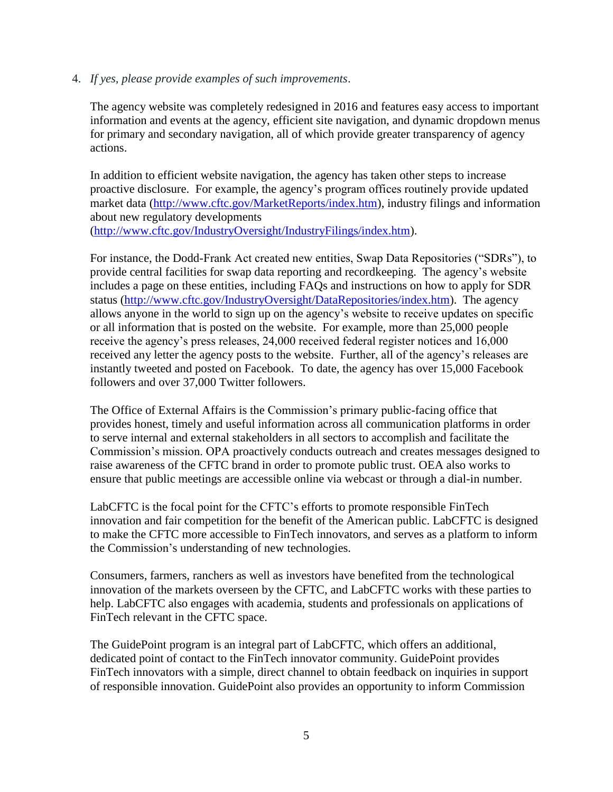#### 4. *If yes, please provide examples of such improvements*.

The agency website was completely redesigned in 2016 and features easy access to important information and events at the agency, efficient site navigation, and dynamic dropdown menus for primary and secondary navigation, all of which provide greater transparency of agency actions.

In addition to efficient website navigation, the agency has taken other steps to increase proactive disclosure. For example, the agency's program offices routinely provide updated market data [\(http://www.cftc.gov/MarketReports/index.htm\)](http://www.cftc.gov/MarketReports/index.htm), industry filings and information about new regulatory developments [\(http://www.cftc.gov/IndustryOversight/IndustryFilings/index.htm\)](http://www.cftc.gov/IndustryOversight/IndustryFilings/index.htm).

For instance, the Dodd-Frank Act created new entities, Swap Data Repositories ("SDRs"), to provide central facilities for swap data reporting and recordkeeping. The agency's website includes a page on these entities, including FAQs and instructions on how to apply for SDR status [\(http://www.cftc.gov/IndustryOversight/DataRepositories/index.htm\)](http://www.cftc.gov/IndustryOversight/DataRepositories/index.htm). The agency allows anyone in the world to sign up on the agency's website to receive updates on specific or all information that is posted on the website. For example, more than 25,000 people receive the agency's press releases, 24,000 received federal register notices and 16,000 received any letter the agency posts to the website. Further, all of the agency's releases are instantly tweeted and posted on Facebook. To date, the agency has over 15,000 Facebook followers and over 37,000 Twitter followers.

The Office of External Affairs is the Commission's primary public-facing office that provides honest, timely and useful information across all communication platforms in order to serve internal and external stakeholders in all sectors to accomplish and facilitate the Commission's mission. OPA proactively conducts outreach and creates messages designed to raise awareness of the CFTC brand in order to promote public trust. OEA also works to ensure that public meetings are accessible online via webcast or through a dial-in number.

LabCFTC is the focal point for the CFTC's efforts to promote responsible FinTech innovation and fair competition for the benefit of the American public. LabCFTC is designed to make the CFTC more accessible to FinTech innovators, and serves as a platform to inform the Commission's understanding of new technologies.

Consumers, farmers, ranchers as well as investors have benefited from the technological innovation of the markets overseen by the CFTC, and LabCFTC works with these parties to help. LabCFTC also engages with academia, students and professionals on applications of FinTech relevant in the CFTC space.

The GuidePoint program is an integral part of LabCFTC, which offers an additional, dedicated point of contact to the FinTech innovator community. GuidePoint provides FinTech innovators with a simple, direct channel to obtain feedback on inquiries in support of responsible innovation. GuidePoint also provides an opportunity to inform Commission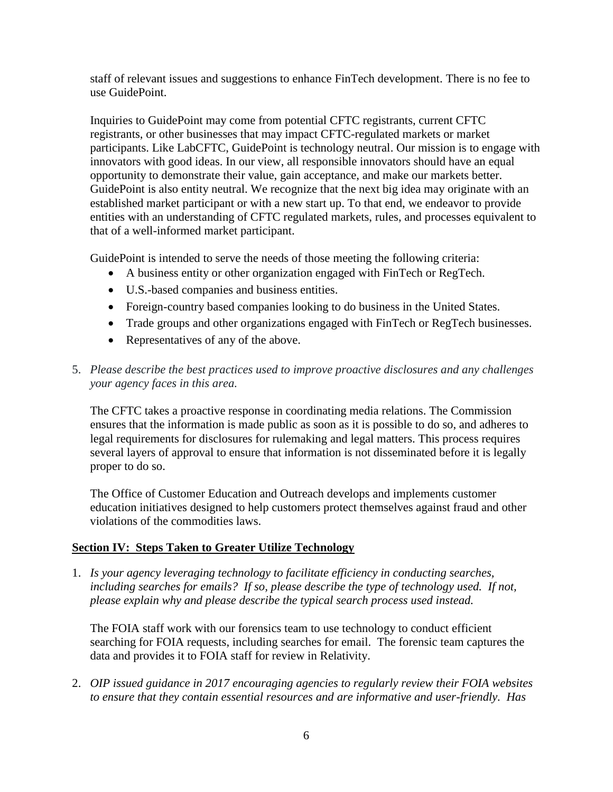staff of relevant issues and suggestions to enhance FinTech development. There is no fee to use GuidePoint.

Inquiries to GuidePoint may come from potential CFTC registrants, current CFTC registrants, or other businesses that may impact CFTC-regulated markets or market participants. Like LabCFTC, GuidePoint is technology neutral. Our mission is to engage with innovators with good ideas. In our view, all responsible innovators should have an equal opportunity to demonstrate their value, gain acceptance, and make our markets better. GuidePoint is also entity neutral. We recognize that the next big idea may originate with an established market participant or with a new start up. To that end, we endeavor to provide entities with an understanding of CFTC regulated markets, rules, and processes equivalent to that of a well-informed market participant.

GuidePoint is intended to serve the needs of those meeting the following criteria:

- A business entity or other organization engaged with FinTech or RegTech.
- U.S.-based companies and business entities.
- Foreign-country based companies looking to do business in the United States.
- Trade groups and other organizations engaged with FinTech or RegTech businesses.
- Representatives of any of the above.
- 5. *Please describe the best practices used to improve proactive disclosures and any challenges your agency faces in this area.*

The CFTC takes a proactive response in coordinating media relations. The Commission ensures that the information is made public as soon as it is possible to do so, and adheres to legal requirements for disclosures for rulemaking and legal matters. This process requires several layers of approval to ensure that information is not disseminated before it is legally proper to do so.

The Office of Customer Education and Outreach develops and implements customer education initiatives designed to help customers protect themselves against fraud and other violations of the commodities laws.

#### **Section IV: Steps Taken to Greater Utilize Technology**

1. *Is your agency leveraging technology to facilitate efficiency in conducting searches,*  including searches for emails? If so, please describe the type of technology used. If not, *please explain why and please describe the typical search process used instead.* 

The FOIA staff work with our forensics team to use technology to conduct efficient searching for FOIA requests, including searches for email. The forensic team captures the data and provides it to FOIA staff for review in Relativity.

2. *OIP issued guidance in 2017 encouraging agencies to regularly review their FOIA websites to ensure that they contain essential resources and are informative and user-friendly. Has*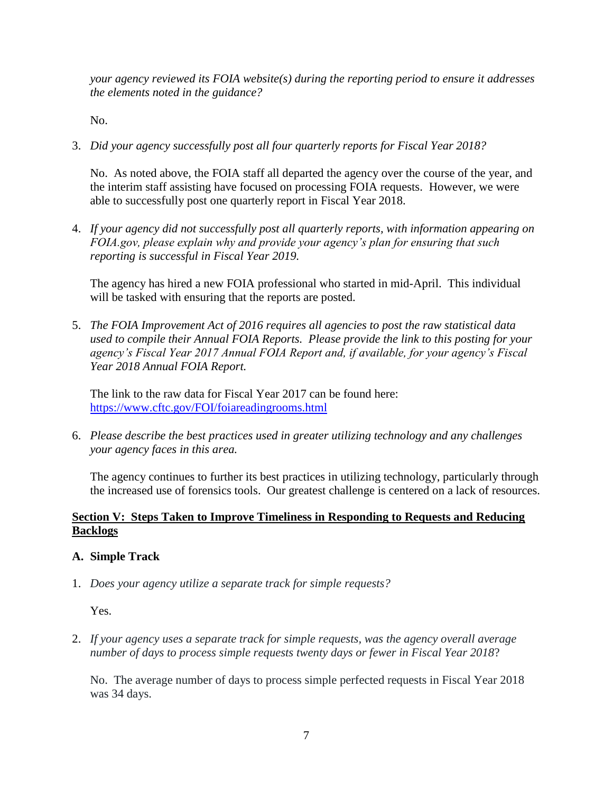*your agency reviewed its FOIA website(s) during the reporting period to ensure it addresses the elements noted in the guidance?* 

No.

3. *Did your agency successfully post all four quarterly reports for Fiscal Year 2018?* 

No. As noted above, the FOIA staff all departed the agency over the course of the year, and the interim staff assisting have focused on processing FOIA requests. However, we were able to successfully post one quarterly report in Fiscal Year 2018.

4. *If your agency did not successfully post all quarterly reports, with information appearing on FOIA.gov, please explain why and provide your agency's plan for ensuring that such reporting is successful in Fiscal Year 2019.* 

The agency has hired a new FOIA professional who started in mid-April. This individual will be tasked with ensuring that the reports are posted.

5. *The FOIA Improvement Act of 2016 requires all agencies to post the raw statistical data used to compile their Annual FOIA Reports. Please provide the link to this posting for your agency's Fiscal Year 2017 Annual FOIA Report and, if available, for your agency's Fiscal Year 2018 Annual FOIA Report.* 

The link to the raw data for Fiscal Year 2017 can be found here: <https://www.cftc.gov/FOI/foiareadingrooms.html>

6. *Please describe the best practices used in greater utilizing technology and any challenges your agency faces in this area.*

The agency continues to further its best practices in utilizing technology, particularly through the increased use of forensics tools. Our greatest challenge is centered on a lack of resources.

#### **Section V: Steps Taken to Improve Timeliness in Responding to Requests and Reducing Backlogs**

#### **A. Simple Track**

1. *Does your agency utilize a separate track for simple requests?*

Yes.

2. *If your agency uses a separate track for simple requests, was the agency overall average number of days to process simple requests twenty days or fewer in Fiscal Year 2018*?

No. The average number of days to process simple perfected requests in Fiscal Year 2018 was 34 days.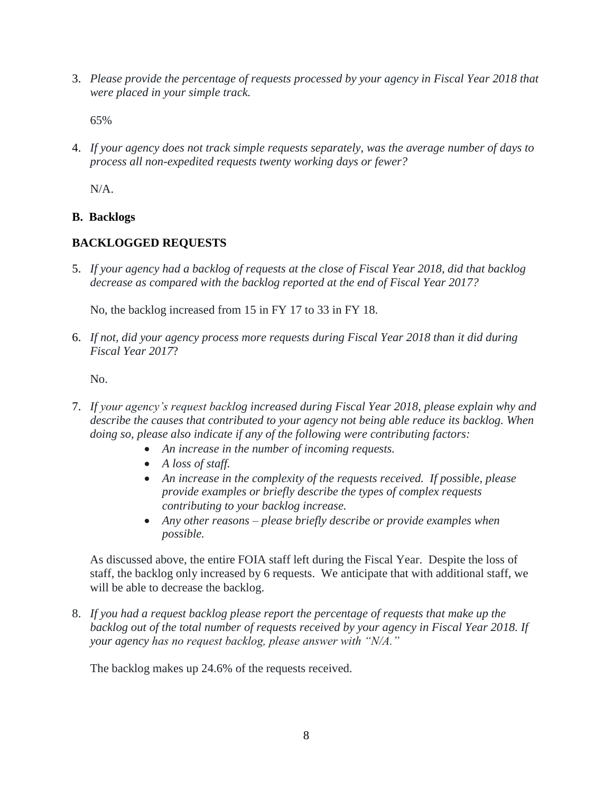3. *Please provide the percentage of requests processed by your agency in Fiscal Year 2018 that were placed in your simple track.* 

65%

4. *If your agency does not track simple requests separately, was the average number of days to process all non-expedited requests twenty working days or fewer?* 

N/A.

#### **B. Backlogs**

### **BACKLOGGED REQUESTS**

5. *If your agency had a backlog of requests at the close of Fiscal Year 2018, did that backlog decrease as compared with the backlog reported at the end of Fiscal Year 2017?*

No, the backlog increased from 15 in FY 17 to 33 in FY 18.

6. *If not, did your agency process more requests during Fiscal Year 2018 than it did during Fiscal Year 2017*?

No.

- 7. *If your agency's request backlog increased during Fiscal Year 2018, please explain why and describe the causes that contributed to your agency not being able reduce its backlog. When doing so, please also indicate if any of the following were contributing factors:*
	- *An increase in the number of incoming requests.*
	- *A loss of staff.*
	- *An increase in the complexity of the requests received. If possible, please provide examples or briefly describe the types of complex requests contributing to your backlog increase.*
	- *Any other reasons – please briefly describe or provide examples when possible.*

As discussed above, the entire FOIA staff left during the Fiscal Year. Despite the loss of staff, the backlog only increased by 6 requests. We anticipate that with additional staff, we will be able to decrease the backlog.

8. *If you had a request backlog please report the percentage of requests that make up the backlog out of the total number of requests received by your agency in Fiscal Year 2018. If your agency has no request backlog, please answer with "N/A."* 

The backlog makes up 24.6% of the requests received.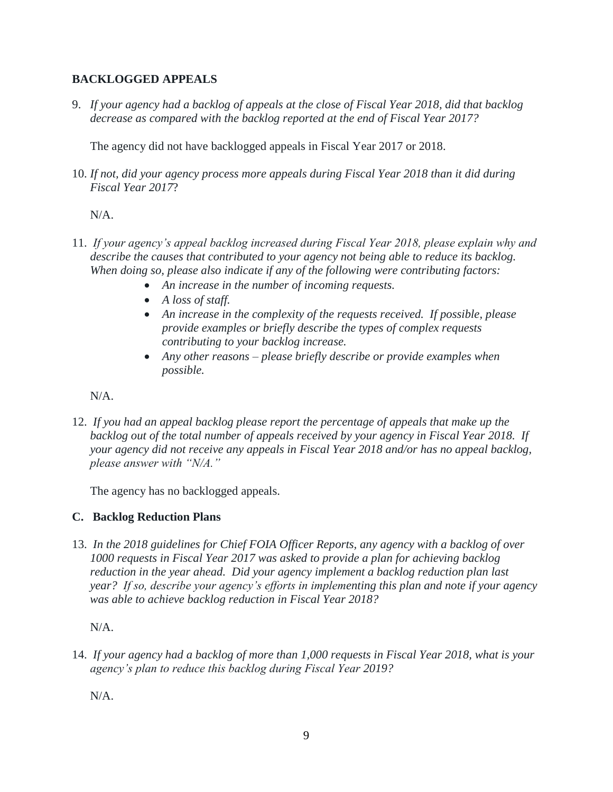### **BACKLOGGED APPEALS**

9. *If your agency had a backlog of appeals at the close of Fiscal Year 2018, did that backlog decrease as compared with the backlog reported at the end of Fiscal Year 2017?* 

The agency did not have backlogged appeals in Fiscal Year 2017 or 2018.

10. *If not, did your agency process more appeals during Fiscal Year 2018 than it did during Fiscal Year 2017*?

#### N/A.

- 11. *If your agency's appeal backlog increased during Fiscal Year 2018, please explain why and describe the causes that contributed to your agency not being able to reduce its backlog. When doing so, please also indicate if any of the following were contributing factors:* 
	- *An increase in the number of incoming requests.*
	- *A loss of staff.*
	- *An increase in the complexity of the requests received. If possible, please provide examples or briefly describe the types of complex requests contributing to your backlog increase.*
	- *Any other reasons – please briefly describe or provide examples when possible.*

N/A.

12. *If you had an appeal backlog please report the percentage of appeals that make up the backlog out of the total number of appeals received by your agency in Fiscal Year 2018. If your agency did not receive any appeals in Fiscal Year 2018 and/or has no appeal backlog, please answer with "N/A."* 

The agency has no backlogged appeals.

### **C. Backlog Reduction Plans**

13. *In the 2018 guidelines for Chief FOIA Officer Reports, any agency with a backlog of over 1000 requests in Fiscal Year 2017 was asked to provide a plan for achieving backlog reduction in the year ahead. Did your agency implement a backlog reduction plan last year? If so, describe your agency's efforts in implementing this plan and note if your agency was able to achieve backlog reduction in Fiscal Year 2018?* 

N/A.

14. *If your agency had a backlog of more than 1,000 requests in Fiscal Year 2018, what is your agency's plan to reduce this backlog during Fiscal Year 2019?* 

N/A.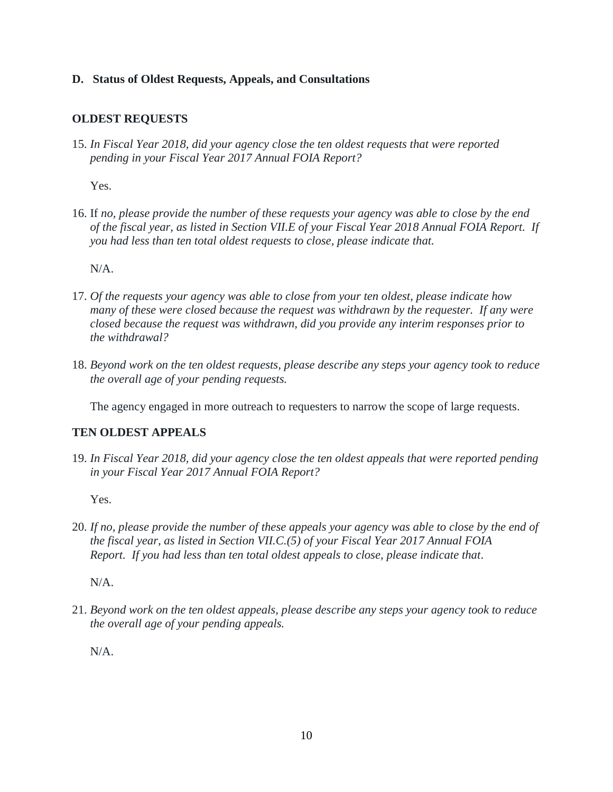#### **D. Status of Oldest Requests, Appeals, and Consultations**

#### **OLDEST REQUESTS**

15. *In Fiscal Year 2018, did your agency close the ten oldest requests that were reported pending in your Fiscal Year 2017 Annual FOIA Report?* 

Yes.

16. If *no, please provide the number of these requests your agency was able to close by the end of the fiscal year, as listed in Section VII.E of your Fiscal Year 2018 Annual FOIA Report. If you had less than ten total oldest requests to close, please indicate that.* 

N/A.

- 17. *Of the requests your agency was able to close from your ten oldest, please indicate how many of these were closed because the request was withdrawn by the requester. If any were closed because the request was withdrawn, did you provide any interim responses prior to the withdrawal?*
- 18. *Beyond work on the ten oldest requests, please describe any steps your agency took to reduce the overall age of your pending requests.*

The agency engaged in more outreach to requesters to narrow the scope of large requests.

#### **TEN OLDEST APPEALS**

19. *In Fiscal Year 2018, did your agency close the ten oldest appeals that were reported pending in your Fiscal Year 2017 Annual FOIA Report?* 

Yes.

20. *If no, please provide the number of these appeals your agency was able to close by the end of the fiscal year, as listed in Section VII.C.(5) of your Fiscal Year 2017 Annual FOIA Report. If you had less than ten total oldest appeals to close, please indicate that*.

N/A.

21. *Beyond work on the ten oldest appeals, please describe any steps your agency took to reduce the overall age of your pending appeals.* 

N/A.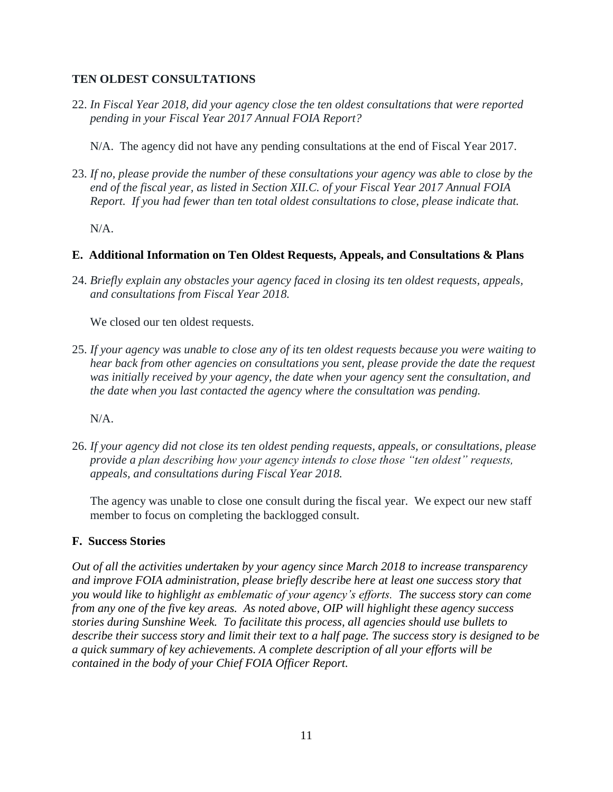#### **TEN OLDEST CONSULTATIONS**

- 22. *In Fiscal Year 2018, did your agency close the ten oldest consultations that were reported pending in your Fiscal Year 2017 Annual FOIA Report?* 
	- N/A. The agency did not have any pending consultations at the end of Fiscal Year 2017.
- 23. *If no, please provide the number of these consultations your agency was able to close by the end of the fiscal year, as listed in Section XII.C. of your Fiscal Year 2017 Annual FOIA Report. If you had fewer than ten total oldest consultations to close, please indicate that.*

 $N/A$ .

#### **E. Additional Information on Ten Oldest Requests, Appeals, and Consultations & Plans**

24. *Briefly explain any obstacles your agency faced in closing its ten oldest requests, appeals, and consultations from Fiscal Year 2018.* 

We closed our ten oldest requests.

25. *If your agency was unable to close any of its ten oldest requests because you were waiting to hear back from other agencies on consultations you sent, please provide the date the request was initially received by your agency, the date when your agency sent the consultation, and the date when you last contacted the agency where the consultation was pending.* 

N/A.

26. *If your agency did not close its ten oldest pending requests, appeals, or consultations, please provide a plan describing how your agency intends to close those "ten oldest" requests, appeals, and consultations during Fiscal Year 2018.*

The agency was unable to close one consult during the fiscal year. We expect our new staff member to focus on completing the backlogged consult.

#### **F. Success Stories**

*Out of all the activities undertaken by your agency since March 2018 to increase transparency and improve FOIA administration, please briefly describe here at least one success story that you would like to highlight as emblematic of your agency's efforts. The success story can come from any one of the five key areas. As noted above, OIP will highlight these agency success stories during Sunshine Week. To facilitate this process, all agencies should use bullets to describe their success story and limit their text to a half page. The success story is designed to be a quick summary of key achievements. A complete description of all your efforts will be contained in the body of your Chief FOIA Officer Report.*